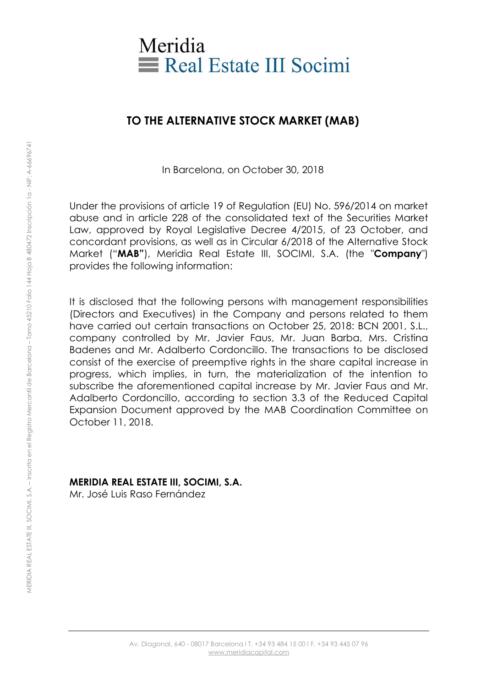

# **TO THE ALTERNATIVE STOCK MARKET (MAB)**

In Barcelona, on October 30, 2018

Under the provisions of article 19 of Regulation (EU) No. 596/2014 on market abuse and in article 228 of the consolidated text of the Securities Market Law, approved by Royal Legislative Decree 4/2015, of 23 October, and concordant provisions, as well as in Circular 6/2018 of the Alternative Stock Market ("**MAB"**), Meridia Real Estate III, SOCIMI, S.A. (the "**Company**") provides the following information:

It is disclosed that the following persons with management responsibilities (Directors and Executives) in the Company and persons related to them have carried out certain transactions on October 25, 2018: BCN 2001, S.L., company controlled by Mr. Javier Faus, Mr. Juan Barba, Mrs. Cristina Badenes and Mr. Adalberto Cordoncillo. The transactions to be disclosed consist of the exercise of preemptive rights in the share capital increase in progress, which implies, in turn, the materialization of the intention to subscribe the aforementioned capital increase by Mr. Javier Faus and Mr. Adalberto Cordoncillo, according to section 3.3 of the Reduced Capital Expansion Document approved by the MAB Coordination Committee on October 11, 2018.

## **MERIDIA REAL ESTATE III, SOCIMI, S.A.**

Mr. José Luis Raso Fernández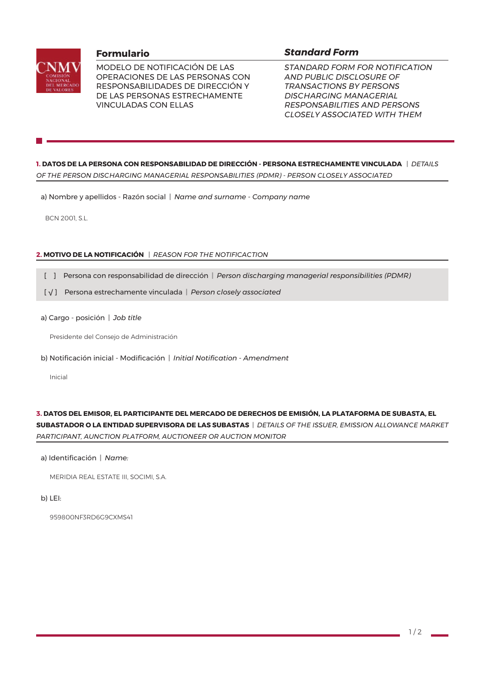

MODELO DE NOTIFICACIÓN DE LAS OPERACIONES DE LAS PERSONAS CON RESPONSABILIDADES DE DIRECCIÓN Y DE LAS PERSONAS ESTRECHAMENTE **VINCULADAS CON ELLAS** 

## **Standard Form**

STANDARD FORM FOR NOTIFICATION AND PUBLIC DISCLOSURE OF **TRANSACTIONS BY PERSONS DISCHARGING MANAGERIAL RESPONSABILITIES AND PERSONS CLOSELY ASSOCIATED WITH THEM** 

1. DATOS DE LA PERSONA CON RESPONSABILIDAD DE DIRECCIÓN - PERSONA ESTRECHAMENTE VINCULADA | DETAILS OF THE PERSON DISCHARGING MANAGERIAL RESPONSABILITIES (PDMR) - PERSON CLOSELY ASSOCIATED

a) Nombre y apellidos - Razón social | Name and surname - Company name

**BCN 2001, S.L.** 

#### 2. MOTIVO DE LA NOTIFICACIÓN | REASON FOR THE NOTIFICACTION

- [ ] Persona con responsabilidad de dirección | Person discharging managerial responsibilities (PDMR)
- [V] Persona estrechamente vinculada | Person closely associated
- a) Cargo posición | Job title

Presidente del Consejo de Administración

b) Notificación inicial - Modificación | Initial Notification - Amendment

Inicial

## 3. DATOS DEL EMISOR, EL PARTICIPANTE DEL MERCADO DE DERECHOS DE EMISIÓN, LA PLATAFORMA DE SUBASTA, EL

SUBASTADOR O LA ENTIDAD SUPERVISORA DE LAS SUBASTAS | DETAILS OF THE ISSUER, EMISSION ALLOWANCE MARKET PARTICIPANT, AUNCTION PLATFORM, AUCTIONEER OR AUCTION MONITOR

a) Identificación | Name:

MERIDIA REAL ESTATE III, SOCIMI, S.A.

b) LEI:

959800NF3RD6G9CXMS41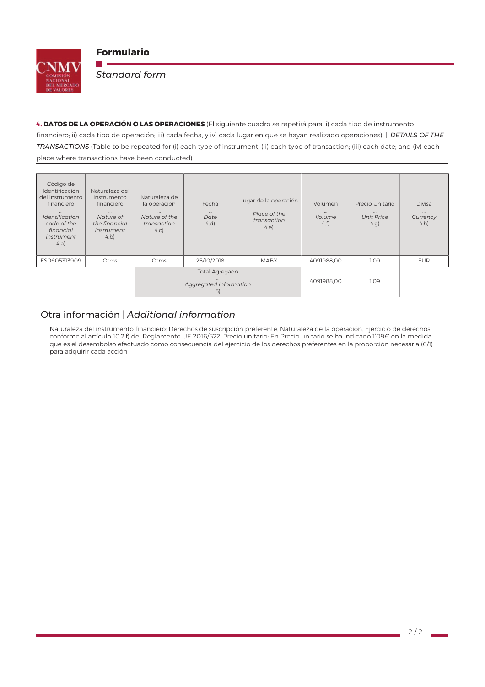

**College** 

**Standard form** 

4. DATOS DE LA OPERACIÓN O LAS OPERACIONES (El siguiente cuadro se repetirá para: i) cada tipo de instrumento financiero; ii) cada tipo de operación; iii) cada fecha, y iv) cada lugar en que se hayan realizado operaciones) | DETAILS OF THE TRANSACTIONS (Table to be repeated for (i) each type of instrument; (ii) each type of transaction; (iii) each date; and (iv) each place where transactions have been conducted)

| Código de<br>Identificación<br>del instrumento<br>financiero<br>Identification<br>code of the<br>financial<br><i>instrument</i><br>4.a) | Naturaleza del<br>instrumento<br>financiero<br>$\cdots$<br>Nature of<br>the financial<br>instrument<br>$4$ .b) | Naturaleza de<br>la operación<br>$\cdots$<br>Nature of the<br>transaction<br>4.C) | Fecha<br>$\cdots$<br>Date<br>4.d) | Lugar de la operación<br>Place of the<br>transaction<br>4.e | Volumen<br>$\cdots$<br>Volume<br>4.f | Precio Unitario<br>$\cdots$<br><b>Unit Price</b><br>$4$ .g) | <b>Divisa</b><br>$\cdots$<br>Currency<br>$4.h$ ) |
|-----------------------------------------------------------------------------------------------------------------------------------------|----------------------------------------------------------------------------------------------------------------|-----------------------------------------------------------------------------------|-----------------------------------|-------------------------------------------------------------|--------------------------------------|-------------------------------------------------------------|--------------------------------------------------|
| ES0605313909                                                                                                                            | Otros                                                                                                          | Otros                                                                             | 25/10/2018                        | <b>MABX</b>                                                 | 4091988,00                           | 1,09                                                        | <b>EUR</b>                                       |
|                                                                                                                                         |                                                                                                                | Total Agregado<br>Aggregated information<br>5)                                    |                                   |                                                             | 4091988.00                           | 1,09                                                        |                                                  |

# Otra información | Additional information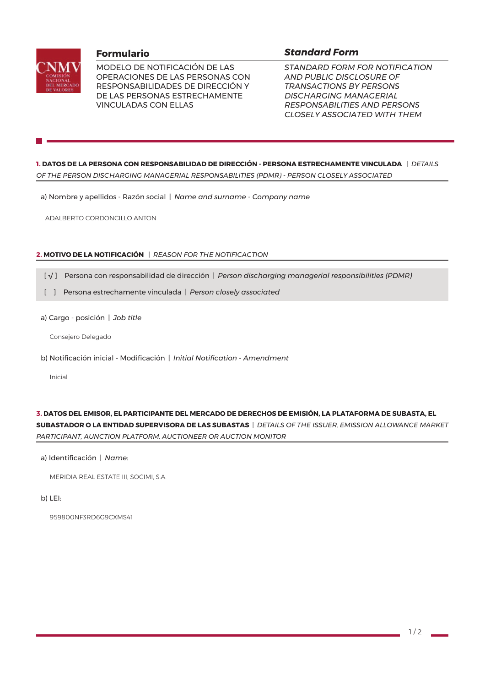

MODELO DE NOTIFICACIÓN DE LAS OPERACIONES DE LAS PERSONAS CON RESPONSABILIDADES DE DIRECCIÓN Y DE LAS PERSONAS ESTRECHAMENTE **VINCULADAS CON ELLAS** 

## **Standard Form**

STANDARD FORM FOR NOTIFICATION AND PUBLIC DISCLOSURE OF **TRANSACTIONS BY PERSONS DISCHARGING MANAGERIAL RESPONSABILITIES AND PERSONS CLOSELY ASSOCIATED WITH THEM** 

1. DATOS DE LA PERSONA CON RESPONSABILIDAD DE DIRECCIÓN - PERSONA ESTRECHAMENTE VINCULADA | DETAILS OF THE PERSON DISCHARGING MANAGERIAL RESPONSABILITIES (PDMR) - PERSON CLOSELY ASSOCIATED

a) Nombre y apellidos - Razón social | Name and surname - Company name

ADALBERTO CORDONCILLO ANTON

#### 2. MOTIVO DE LA NOTIFICACIÓN | REASON FOR THE NOTIFICACTION

- [ $\sqrt{ }$ ] Persona con responsabilidad de dirección | Person discharging managerial responsibilities (PDMR)
- [ ] Persona estrechamente vinculada | Person closely associated
- a) Cargo posición | Job title

Consejero Delegado

b) Notificación inicial - Modificación | Initigl Notification - Amendment

Inicial

# 3. DATOS DEL EMISOR, EL PARTICIPANTE DEL MERCADO DE DERECHOS DE EMISIÓN, LA PLATAFORMA DE SUBASTA, EL

SUBASTADOR O LA ENTIDAD SUPERVISORA DE LAS SUBASTAS | DETAILS OF THE ISSUER, EMISSION ALLOWANCE MARKET PARTICIPANT, AUNCTION PLATFORM, AUCTIONEER OR AUCTION MONITOR

a) Identificación | Name:

MERIDIA REAL ESTATE III, SOCIMI, S.A.

b) LEI:

959800NF3RD6G9CXMS41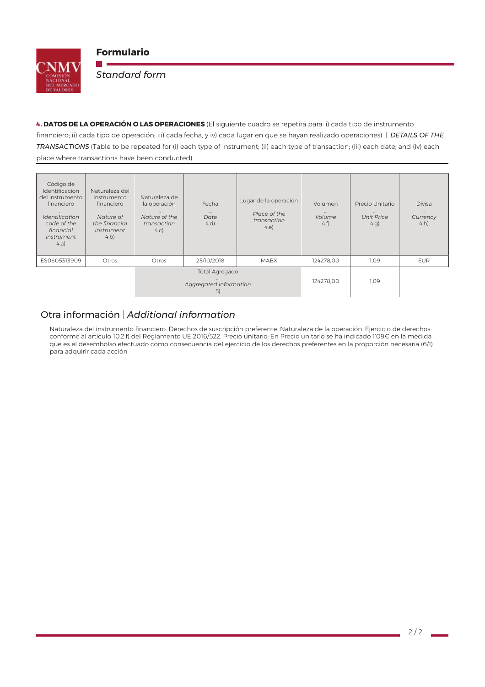

**College** 

**Standard form** 

4. DATOS DE LA OPERACIÓN O LAS OPERACIONES (El siguiente cuadro se repetirá para: i) cada tipo de instrumento financiero; ii) cada tipo de operación; iii) cada fecha, y iv) cada lugar en que se hayan realizado operaciones) | DETAILS OF THE TRANSACTIONS (Table to be repeated for (i) each type of instrument; (ii) each type of transaction; (iii) each date; and (iv) each place where transactions have been conducted)

| Código de<br>Identificación<br>del instrumento<br>financiero<br>$\cdots$<br>Identification<br>code of the<br>financial | Naturaleza del<br>instrumento<br>financiero<br>$\cdots$<br>Nature of<br>the financial<br><i>instrument</i> | Naturaleza de<br>la operación<br>$\cdots$<br>Nature of the<br>transaction<br>4.C) | Fecha<br>$\cdots$<br>Date<br>4.d) | Lugar de la operación<br>Place of the<br>transaction<br>4.e | Volumen<br>$\cdots$<br>Volume<br>4.f | Precio Unitario<br>$\cdots$<br><b>Unit Price</b><br>$4$ .g) | <b>Divisa</b><br>$\cdots$<br>Currency<br>$4.h$ ) |
|------------------------------------------------------------------------------------------------------------------------|------------------------------------------------------------------------------------------------------------|-----------------------------------------------------------------------------------|-----------------------------------|-------------------------------------------------------------|--------------------------------------|-------------------------------------------------------------|--------------------------------------------------|
| instrument<br>4.a)                                                                                                     | $4$ .b)                                                                                                    |                                                                                   |                                   |                                                             |                                      |                                                             |                                                  |
| ES0605313909                                                                                                           | Otros                                                                                                      | Otros                                                                             | 25/10/2018                        | <b>MABX</b>                                                 | 124278.00                            | 1,09                                                        | <b>EUR</b>                                       |
|                                                                                                                        |                                                                                                            | Total Agregado<br>Aggregated information<br>5)                                    |                                   |                                                             | 124278,00                            | 1,09                                                        |                                                  |

# Otra información | Additional information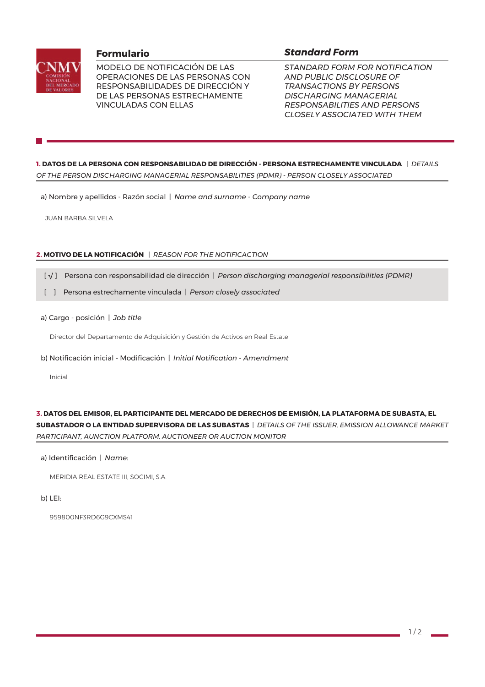

MODELO DE NOTIFICACIÓN DE LAS OPERACIONES DE LAS PERSONAS CON RESPONSABILIDADES DE DIRECCIÓN Y DE LAS PERSONAS ESTRECHAMENTE **VINCULADAS CON ELLAS** 

## **Standard Form**

STANDARD FORM FOR NOTIFICATION AND PUBLIC DISCLOSURE OF **TRANSACTIONS BY PERSONS DISCHARGING MANAGERIAL RESPONSABILITIES AND PERSONS CLOSELY ASSOCIATED WITH THEM** 

1. DATOS DE LA PERSONA CON RESPONSABILIDAD DE DIRECCIÓN - PERSONA ESTRECHAMENTE VINCULADA | DETAILS OF THE PERSON DISCHARGING MANAGERIAL RESPONSABILITIES (PDMR) - PERSON CLOSELY ASSOCIATED

a) Nombre y apellidos - Razón social | Name and surname - Company name

**JUAN BARBA SILVELA** 

#### 2. MOTIVO DE LA NOTIFICACIÓN | REASON FOR THE NOTIFICACTION

- [ $\sqrt{ }$ ] Persona con responsabilidad de dirección | Person discharging managerial responsibilities (PDMR)
- [ ] Persona estrechamente vinculada | Person closely associated
- a) Cargo posición | Job title

Director del Departamento de Adquisición y Gestión de Activos en Real Estate

b) Notificación inicial - Modificación | Initial Notification - Amendment

Inicial

#### 3. DATOS DEL EMISOR, EL PARTICIPANTE DEL MERCADO DE DERECHOS DE EMISIÓN, LA PLATAFORMA DE SUBASTA, EL

SUBASTADOR O LA ENTIDAD SUPERVISORA DE LAS SUBASTAS | DETAILS OF THE ISSUER, EMISSION ALLOWANCE MARKET PARTICIPANT, AUNCTION PLATFORM, AUCTIONEER OR AUCTION MONITOR

a) Identificación | Name:

MERIDIA REAL ESTATE III, SOCIMI, S.A.

b) LEI:

959800NF3RD6G9CXMS41

 $1/2$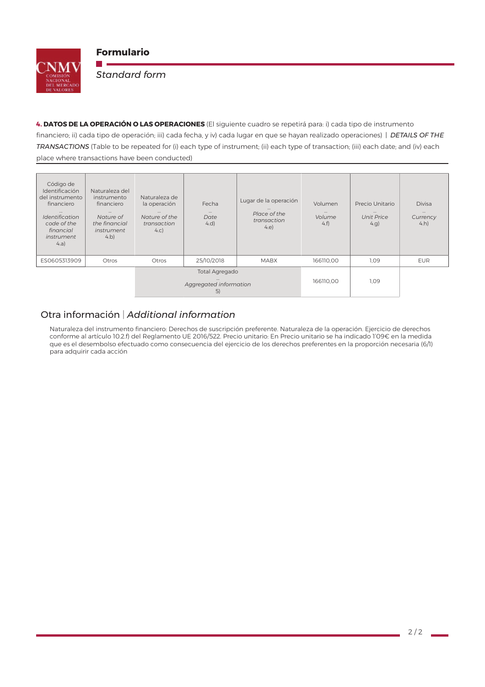

**College** 

**Standard form** 

4. DATOS DE LA OPERACIÓN O LAS OPERACIONES (El siguiente cuadro se repetirá para: i) cada tipo de instrumento financiero; ii) cada tipo de operación; iii) cada fecha, y iv) cada lugar en que se hayan realizado operaciones) | DETAILS OF THE TRANSACTIONS (Table to be repeated for (i) each type of instrument; (ii) each type of transaction; (iii) each date; and (iv) each place where transactions have been conducted)

| Código de<br>Identificación<br>del instrumento<br>financiero<br>$\cdots$<br>Identification<br>code of the<br>financial | Naturaleza del<br>instrumento<br>financiero<br>$\cdots$<br>Nature of<br>the financial<br><i>instrument</i> | Naturaleza de<br>la operación<br>$\cdots$<br>Nature of the<br>transaction<br>4.C) | Fecha<br>$\cdots$<br>Date<br>4.d) | Lugar de la operación<br>Place of the<br>transaction<br>4.e | Volumen<br>$\cdots$<br>Volume<br>4.f | Precio Unitario<br>$\cdots$<br><b>Unit Price</b><br>$4$ .g) | <b>Divisa</b><br>$\cdots$<br>Currency<br>$4.h$ ) |
|------------------------------------------------------------------------------------------------------------------------|------------------------------------------------------------------------------------------------------------|-----------------------------------------------------------------------------------|-----------------------------------|-------------------------------------------------------------|--------------------------------------|-------------------------------------------------------------|--------------------------------------------------|
| instrument<br>4.a)                                                                                                     | $4$ .b)                                                                                                    |                                                                                   |                                   |                                                             |                                      |                                                             |                                                  |
| ES0605313909                                                                                                           | Otros                                                                                                      | Otros                                                                             | 25/10/2018                        | <b>MABX</b>                                                 | 166110.00                            | 1,09                                                        | <b>EUR</b>                                       |
|                                                                                                                        |                                                                                                            | Total Agregado<br>Aggregated information<br>5)                                    |                                   |                                                             | 166110,00                            | 1,09                                                        |                                                  |

# Otra información | Additional information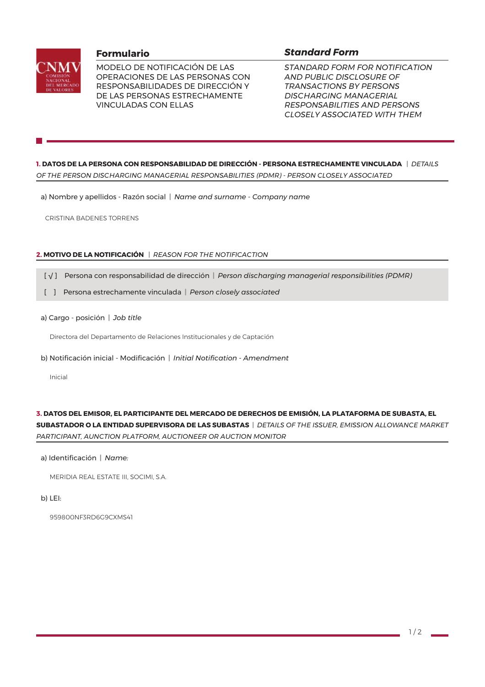

MODELO DE NOTIFICACIÓN DE LAS OPERACIONES DE LAS PERSONAS CON RESPONSABILIDADES DE DIRECCIÓN Y DE LAS PERSONAS ESTRECHAMENTE **VINCULADAS CON ELLAS** 

## **Standard Form**

STANDARD FORM FOR NOTIFICATION AND PUBLIC DISCLOSURE OF **TRANSACTIONS BY PERSONS DISCHARGING MANAGERIAL RESPONSABILITIES AND PERSONS CLOSELY ASSOCIATED WITH THEM** 

1. DATOS DE LA PERSONA CON RESPONSABILIDAD DE DIRECCIÓN - PERSONA ESTRECHAMENTE VINCULADA | DETAILS OF THE PERSON DISCHARGING MANAGERIAL RESPONSABILITIES (PDMR) - PERSON CLOSELY ASSOCIATED

a) Nombre y apellidos - Razón social | Name and surname - Company name

CRISTINA BADENES TORRENS

#### 2. MOTIVO DE LA NOTIFICACIÓN | REASON FOR THE NOTIFICACTION

- [ $\sqrt{ }$ ] Persona con responsabilidad de dirección | Person discharging managerial responsibilities (PDMR)
- [ ] Persona estrechamente vinculada | Person closely associated
- a) Cargo posición | Job title

Directora del Departamento de Relaciones Institucionales y de Captación

b) Notificación inicial - Modificación | Initial Notification - Amendment

Inicial

#### 3. DATOS DEL EMISOR, EL PARTICIPANTE DEL MERCADO DE DERECHOS DE EMISIÓN, LA PLATAFORMA DE SUBASTA, EL

SUBASTADOR O LA ENTIDAD SUPERVISORA DE LAS SUBASTAS | DETAILS OF THE ISSUER, EMISSION ALLOWANCE MARKET PARTICIPANT, AUNCTION PLATFORM, AUCTIONEER OR AUCTION MONITOR

a) Identificación | Name:

MERIDIA REAL ESTATE III, SOCIMI, S.A.

b) LEI:

959800NF3RD6G9CXMS41

 $1/2$